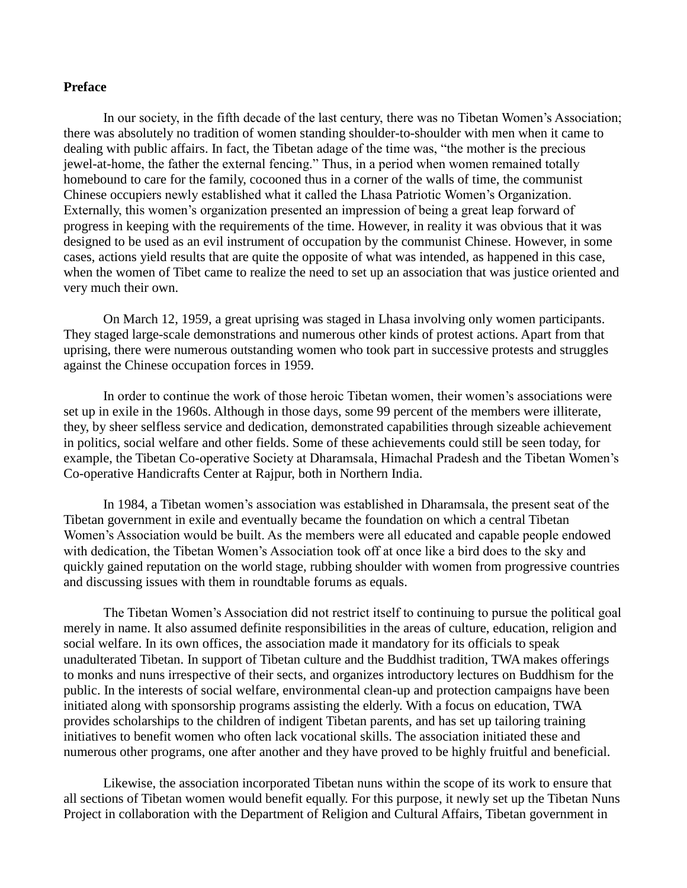## **Preface**

In our society, in the fifth decade of the last century, there was no Tibetan Women"s Association; there was absolutely no tradition of women standing shoulder-to-shoulder with men when it came to dealing with public affairs. In fact, the Tibetan adage of the time was, "the mother is the precious jewel-at-home, the father the external fencing." Thus, in a period when women remained totally homebound to care for the family, cocooned thus in a corner of the walls of time, the communist Chinese occupiers newly established what it called the Lhasa Patriotic Women"s Organization. Externally, this women's organization presented an impression of being a great leap forward of progress in keeping with the requirements of the time. However, in reality it was obvious that it was designed to be used as an evil instrument of occupation by the communist Chinese. However, in some cases, actions yield results that are quite the opposite of what was intended, as happened in this case, when the women of Tibet came to realize the need to set up an association that was justice oriented and very much their own.

On March 12, 1959, a great uprising was staged in Lhasa involving only women participants. They staged large-scale demonstrations and numerous other kinds of protest actions. Apart from that uprising, there were numerous outstanding women who took part in successive protests and struggles against the Chinese occupation forces in 1959.

In order to continue the work of those heroic Tibetan women, their women"s associations were set up in exile in the 1960s. Although in those days, some 99 percent of the members were illiterate, they, by sheer selfless service and dedication, demonstrated capabilities through sizeable achievement in politics, social welfare and other fields. Some of these achievements could still be seen today, for example, the Tibetan Co-operative Society at Dharamsala, Himachal Pradesh and the Tibetan Women"s Co-operative Handicrafts Center at Rajpur, both in Northern India.

In 1984, a Tibetan women's association was established in Dharamsala, the present seat of the Tibetan government in exile and eventually became the foundation on which a central Tibetan Women"s Association would be built. As the members were all educated and capable people endowed with dedication, the Tibetan Women's Association took off at once like a bird does to the sky and quickly gained reputation on the world stage, rubbing shoulder with women from progressive countries and discussing issues with them in roundtable forums as equals.

The Tibetan Women"s Association did not restrict itself to continuing to pursue the political goal merely in name. It also assumed definite responsibilities in the areas of culture, education, religion and social welfare. In its own offices, the association made it mandatory for its officials to speak unadulterated Tibetan. In support of Tibetan culture and the Buddhist tradition, TWA makes offerings to monks and nuns irrespective of their sects, and organizes introductory lectures on Buddhism for the public. In the interests of social welfare, environmental clean-up and protection campaigns have been initiated along with sponsorship programs assisting the elderly. With a focus on education, TWA provides scholarships to the children of indigent Tibetan parents, and has set up tailoring training initiatives to benefit women who often lack vocational skills. The association initiated these and numerous other programs, one after another and they have proved to be highly fruitful and beneficial.

Likewise, the association incorporated Tibetan nuns within the scope of its work to ensure that all sections of Tibetan women would benefit equally. For this purpose, it newly set up the Tibetan Nuns Project in collaboration with the Department of Religion and Cultural Affairs, Tibetan government in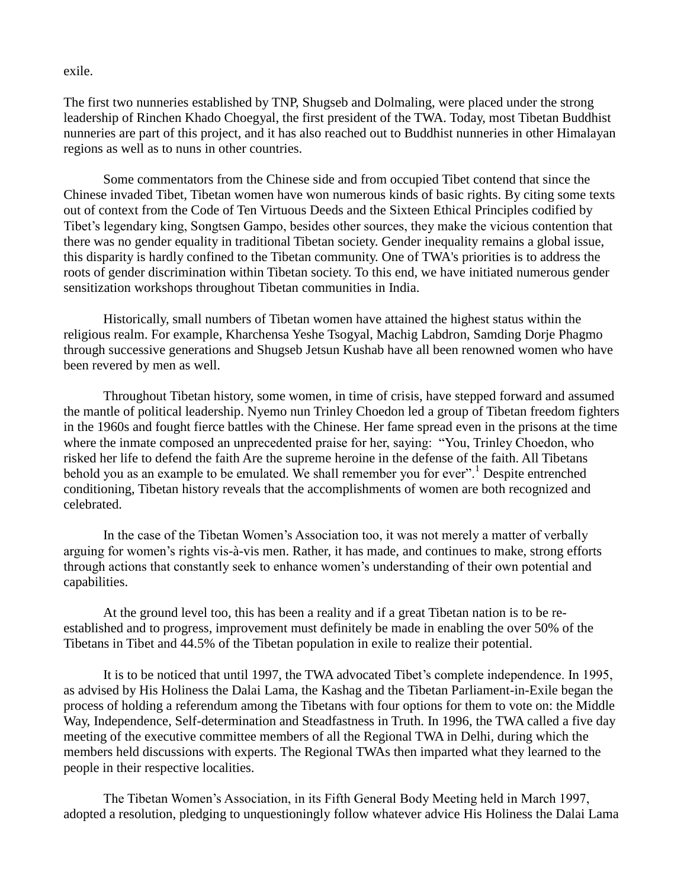### exile.

The first two nunneries established by TNP, Shugseb and Dolmaling, were placed under the strong leadership of Rinchen Khado Choegyal, the first president of the TWA. Today, most Tibetan Buddhist nunneries are part of this project, and it has also reached out to Buddhist nunneries in other Himalayan regions as well as to nuns in other countries.

Some commentators from the Chinese side and from occupied Tibet contend that since the Chinese invaded Tibet, Tibetan women have won numerous kinds of basic rights. By citing some texts out of context from the Code of Ten Virtuous Deeds and the Sixteen Ethical Principles codified by Tibet"s legendary king, Songtsen Gampo, besides other sources, they make the vicious contention that there was no gender equality in traditional Tibetan society. Gender inequality remains a global issue, this disparity is hardly confined to the Tibetan community. One of TWA's priorities is to address the roots of gender discrimination within Tibetan society. To this end, we have initiated numerous gender sensitization workshops throughout Tibetan communities in India.

Historically, small numbers of Tibetan women have attained the highest status within the religious realm. For example, Kharchensa Yeshe Tsogyal, Machig Labdron, Samding Dorje Phagmo through successive generations and Shugseb Jetsun Kushab have all been renowned women who have been revered by men as well.

Throughout Tibetan history, some women, in time of crisis, have stepped forward and assumed the mantle of political leadership. Nyemo nun Trinley Choedon led a group of Tibetan freedom fighters in the 1960s and fought fierce battles with the Chinese. Her fame spread even in the prisons at the time where the inmate composed an unprecedented praise for her, saying: "You, Trinley Choedon, who risked her life to defend the faith Are the supreme heroine in the defense of the faith. All Tibetans behold you as an example to be emulated. We shall remember you for ever".<sup>1</sup> Despite entrenched conditioning, Tibetan history reveals that the accomplishments of women are both recognized and celebrated.

In the case of the Tibetan Women"s Association too, it was not merely a matter of verbally arguing for women"s rights vis-à-vis men. Rather, it has made, and continues to make, strong efforts through actions that constantly seek to enhance women"s understanding of their own potential and capabilities.

At the ground level too, this has been a reality and if a great Tibetan nation is to be reestablished and to progress, improvement must definitely be made in enabling the over 50% of the Tibetans in Tibet and 44.5% of the Tibetan population in exile to realize their potential.

It is to be noticed that until 1997, the TWA advocated Tibet's complete independence. In 1995, as advised by His Holiness the Dalai Lama, the Kashag and the Tibetan Parliament-in-Exile began the process of holding a referendum among the Tibetans with four options for them to vote on: the Middle Way, Independence, Self-determination and Steadfastness in Truth. In 1996, the TWA called a five day meeting of the executive committee members of all the Regional TWA in Delhi, during which the members held discussions with experts. The Regional TWAs then imparted what they learned to the people in their respective localities.

The Tibetan Women"s Association, in its Fifth General Body Meeting held in March 1997, adopted a resolution, pledging to unquestioningly follow whatever advice His Holiness the Dalai Lama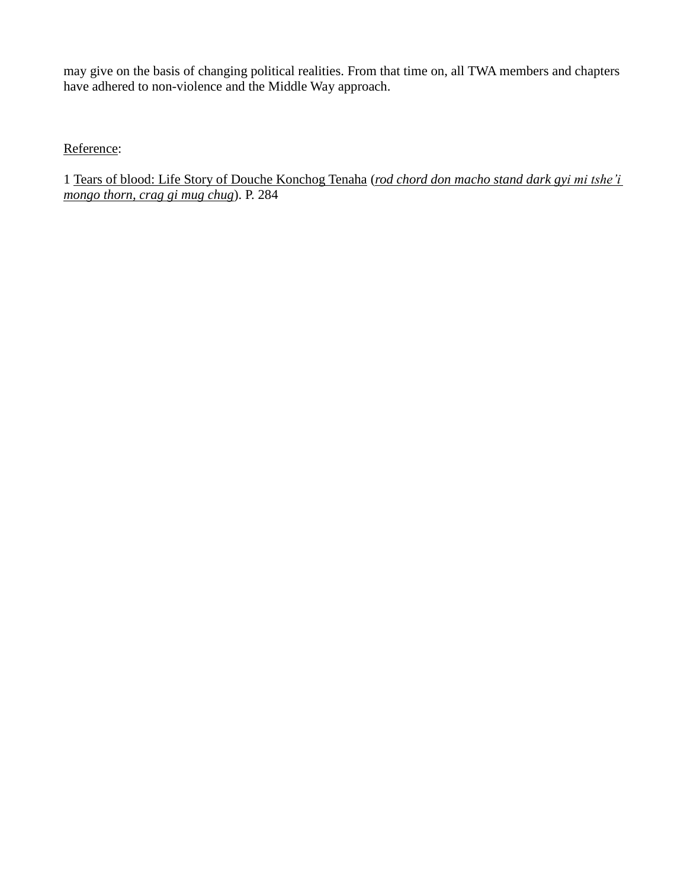may give on the basis of changing political realities. From that time on, all TWA members and chapters have adhered to non-violence and the Middle Way approach.

Reference:

1 Tears of blood: Life Story of Douche Konchog Tenaha (*rod chord don macho stand dark gyi mi tshe"i mongo thorn, crag gi mug chug*). P. 284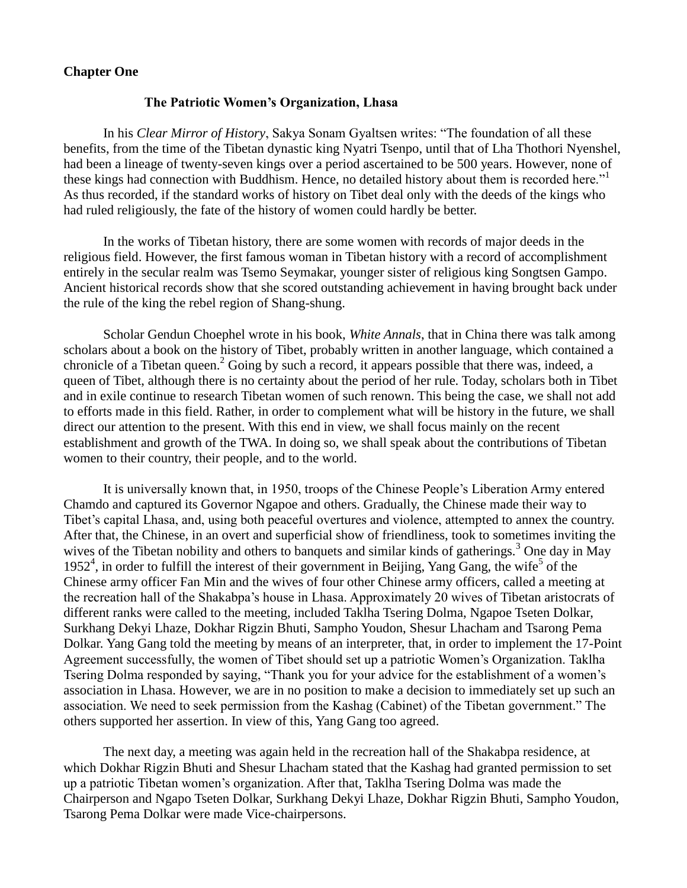### **Chapter One**

### **The Patriotic Women's Organization, Lhasa**

In his *Clear Mirror of History*, Sakya Sonam Gyaltsen writes: "The foundation of all these benefits, from the time of the Tibetan dynastic king Nyatri Tsenpo, until that of Lha Thothori Nyenshel, had been a lineage of twenty-seven kings over a period ascertained to be 500 years. However, none of these kings had connection with Buddhism. Hence, no detailed history about them is recorded here."<sup>1</sup> As thus recorded, if the standard works of history on Tibet deal only with the deeds of the kings who had ruled religiously, the fate of the history of women could hardly be better.

In the works of Tibetan history, there are some women with records of major deeds in the religious field. However, the first famous woman in Tibetan history with a record of accomplishment entirely in the secular realm was Tsemo Seymakar, younger sister of religious king Songtsen Gampo. Ancient historical records show that she scored outstanding achievement in having brought back under the rule of the king the rebel region of Shang-shung.

Scholar Gendun Choephel wrote in his book, *White Annals*, that in China there was talk among scholars about a book on the history of Tibet, probably written in another language, which contained a chronicle of a Tibetan queen.<sup>2</sup> Going by such a record, it appears possible that there was, indeed, a queen of Tibet, although there is no certainty about the period of her rule. Today, scholars both in Tibet and in exile continue to research Tibetan women of such renown. This being the case, we shall not add to efforts made in this field. Rather, in order to complement what will be history in the future, we shall direct our attention to the present. With this end in view, we shall focus mainly on the recent establishment and growth of the TWA. In doing so, we shall speak about the contributions of Tibetan women to their country, their people, and to the world.

It is universally known that, in 1950, troops of the Chinese People"s Liberation Army entered Chamdo and captured its Governor Ngapoe and others. Gradually, the Chinese made their way to Tibet"s capital Lhasa, and, using both peaceful overtures and violence, attempted to annex the country. After that, the Chinese, in an overt and superficial show of friendliness, took to sometimes inviting the wives of the Tibetan nobility and others to banquets and similar kinds of gatherings.<sup>3</sup> One day in May 1952<sup>4</sup>, in order to fulfill the interest of their government in Beijing, Yang Gang, the wife<sup>5</sup> of the Chinese army officer Fan Min and the wives of four other Chinese army officers, called a meeting at the recreation hall of the Shakabpa"s house in Lhasa. Approximately 20 wives of Tibetan aristocrats of different ranks were called to the meeting, included Taklha Tsering Dolma, Ngapoe Tseten Dolkar, Surkhang Dekyi Lhaze, Dokhar Rigzin Bhuti, Sampho Youdon, Shesur Lhacham and Tsarong Pema Dolkar. Yang Gang told the meeting by means of an interpreter, that, in order to implement the 17-Point Agreement successfully, the women of Tibet should set up a patriotic Women"s Organization. Taklha Tsering Dolma responded by saying, "Thank you for your advice for the establishment of a women"s association in Lhasa. However, we are in no position to make a decision to immediately set up such an association. We need to seek permission from the Kashag (Cabinet) of the Tibetan government." The others supported her assertion. In view of this, Yang Gang too agreed.

The next day, a meeting was again held in the recreation hall of the Shakabpa residence, at which Dokhar Rigzin Bhuti and Shesur Lhacham stated that the Kashag had granted permission to set up a patriotic Tibetan women"s organization. After that, Taklha Tsering Dolma was made the Chairperson and Ngapo Tseten Dolkar, Surkhang Dekyi Lhaze, Dokhar Rigzin Bhuti, Sampho Youdon, Tsarong Pema Dolkar were made Vice-chairpersons.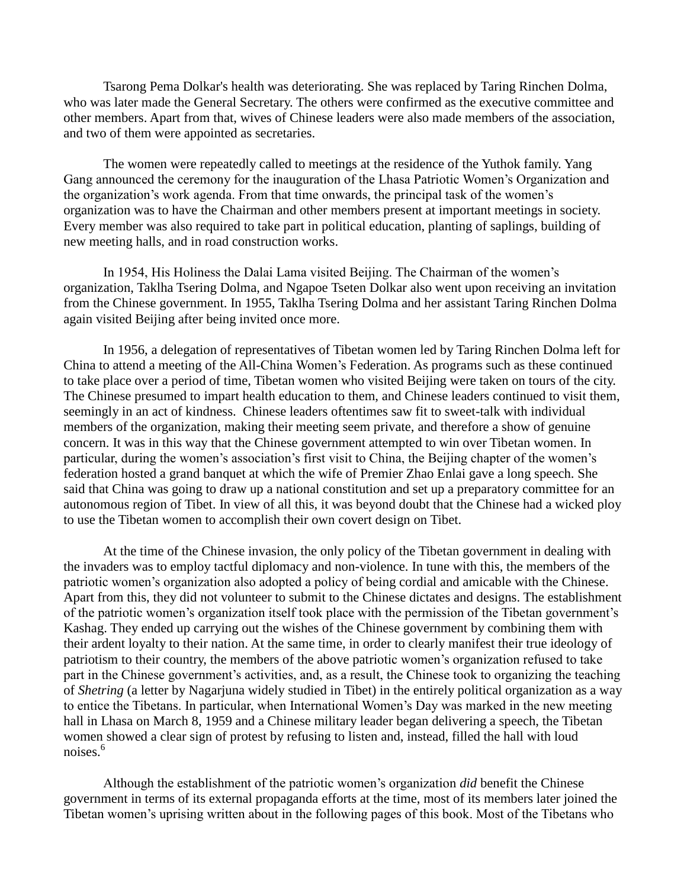Tsarong Pema Dolkar's health was deteriorating. She was replaced by Taring Rinchen Dolma, who was later made the General Secretary. The others were confirmed as the executive committee and other members. Apart from that, wives of Chinese leaders were also made members of the association, and two of them were appointed as secretaries.

The women were repeatedly called to meetings at the residence of the Yuthok family. Yang Gang announced the ceremony for the inauguration of the Lhasa Patriotic Women"s Organization and the organization"s work agenda. From that time onwards, the principal task of the women"s organization was to have the Chairman and other members present at important meetings in society. Every member was also required to take part in political education, planting of saplings, building of new meeting halls, and in road construction works.

In 1954, His Holiness the Dalai Lama visited Beijing. The Chairman of the women"s organization, Taklha Tsering Dolma, and Ngapoe Tseten Dolkar also went upon receiving an invitation from the Chinese government. In 1955, Taklha Tsering Dolma and her assistant Taring Rinchen Dolma again visited Beijing after being invited once more.

In 1956, a delegation of representatives of Tibetan women led by Taring Rinchen Dolma left for China to attend a meeting of the All-China Women"s Federation. As programs such as these continued to take place over a period of time, Tibetan women who visited Beijing were taken on tours of the city. The Chinese presumed to impart health education to them, and Chinese leaders continued to visit them, seemingly in an act of kindness. Chinese leaders oftentimes saw fit to sweet-talk with individual members of the organization, making their meeting seem private, and therefore a show of genuine concern. It was in this way that the Chinese government attempted to win over Tibetan women. In particular, during the women's association's first visit to China, the Beijing chapter of the women's federation hosted a grand banquet at which the wife of Premier Zhao Enlai gave a long speech. She said that China was going to draw up a national constitution and set up a preparatory committee for an autonomous region of Tibet. In view of all this, it was beyond doubt that the Chinese had a wicked ploy to use the Tibetan women to accomplish their own covert design on Tibet.

At the time of the Chinese invasion, the only policy of the Tibetan government in dealing with the invaders was to employ tactful diplomacy and non-violence. In tune with this, the members of the patriotic women"s organization also adopted a policy of being cordial and amicable with the Chinese. Apart from this, they did not volunteer to submit to the Chinese dictates and designs. The establishment of the patriotic women"s organization itself took place with the permission of the Tibetan government"s Kashag. They ended up carrying out the wishes of the Chinese government by combining them with their ardent loyalty to their nation. At the same time, in order to clearly manifest their true ideology of patriotism to their country, the members of the above patriotic women"s organization refused to take part in the Chinese government's activities, and, as a result, the Chinese took to organizing the teaching of *Shetring* (a letter by Nagarjuna widely studied in Tibet) in the entirely political organization as a way to entice the Tibetans. In particular, when International Women"s Day was marked in the new meeting hall in Lhasa on March 8, 1959 and a Chinese military leader began delivering a speech, the Tibetan women showed a clear sign of protest by refusing to listen and, instead, filled the hall with loud noises.<sup>6</sup>

Although the establishment of the patriotic women"s organization *did* benefit the Chinese government in terms of its external propaganda efforts at the time, most of its members later joined the Tibetan women"s uprising written about in the following pages of this book. Most of the Tibetans who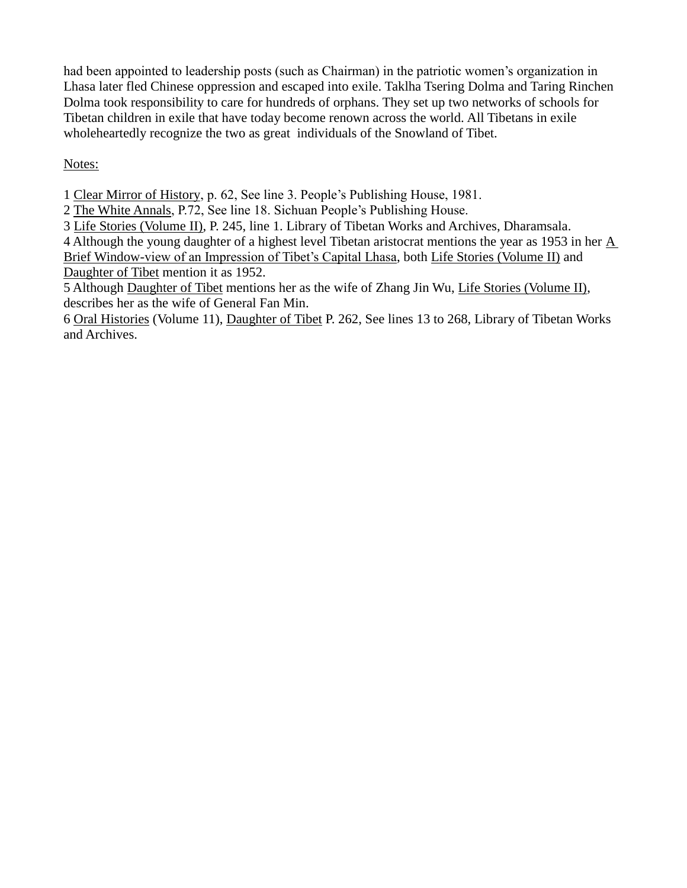had been appointed to leadership posts (such as Chairman) in the patriotic women's organization in Lhasa later fled Chinese oppression and escaped into exile. Taklha Tsering Dolma and Taring Rinchen Dolma took responsibility to care for hundreds of orphans. They set up two networks of schools for Tibetan children in exile that have today become renown across the world. All Tibetans in exile wholeheartedly recognize the two as great individuals of the Snowland of Tibet.

Notes:

1 Clear Mirror of History, p. 62, See line 3. People"s Publishing House, 1981.

2 The White Annals, P.72, See line 18. Sichuan People"s Publishing House.

3 Life Stories (Volume II), P. 245, line 1. Library of Tibetan Works and Archives, Dharamsala.

4 Although the young daughter of a highest level Tibetan aristocrat mentions the year as 1953 in her A Brief Window-view of an Impression of Tibet's Capital Lhasa, both Life Stories (Volume II) and Daughter of Tibet mention it as 1952.

5 Although Daughter of Tibet mentions her as the wife of Zhang Jin Wu, Life Stories (Volume II), describes her as the wife of General Fan Min.

6 Oral Histories (Volume 11), Daughter of Tibet P. 262, See lines 13 to 268, Library of Tibetan Works and Archives.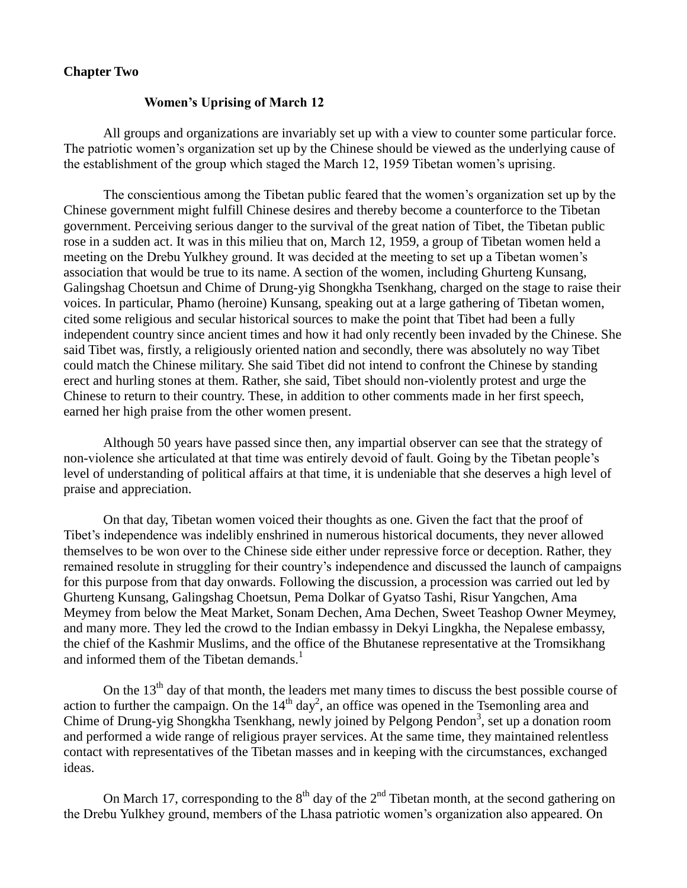### **Chapter Two**

### **Women's Uprising of March 12**

All groups and organizations are invariably set up with a view to counter some particular force. The patriotic women's organization set up by the Chinese should be viewed as the underlying cause of the establishment of the group which staged the March 12, 1959 Tibetan women"s uprising.

The conscientious among the Tibetan public feared that the women"s organization set up by the Chinese government might fulfill Chinese desires and thereby become a counterforce to the Tibetan government. Perceiving serious danger to the survival of the great nation of Tibet, the Tibetan public rose in a sudden act. It was in this milieu that on, March 12, 1959, a group of Tibetan women held a meeting on the Drebu Yulkhey ground. It was decided at the meeting to set up a Tibetan women"s association that would be true to its name. A section of the women, including Ghurteng Kunsang, Galingshag Choetsun and Chime of Drung-yig Shongkha Tsenkhang, charged on the stage to raise their voices. In particular, Phamo (heroine) Kunsang, speaking out at a large gathering of Tibetan women, cited some religious and secular historical sources to make the point that Tibet had been a fully independent country since ancient times and how it had only recently been invaded by the Chinese. She said Tibet was, firstly, a religiously oriented nation and secondly, there was absolutely no way Tibet could match the Chinese military. She said Tibet did not intend to confront the Chinese by standing erect and hurling stones at them. Rather, she said, Tibet should non-violently protest and urge the Chinese to return to their country. These, in addition to other comments made in her first speech, earned her high praise from the other women present.

Although 50 years have passed since then, any impartial observer can see that the strategy of non-violence she articulated at that time was entirely devoid of fault. Going by the Tibetan people"s level of understanding of political affairs at that time, it is undeniable that she deserves a high level of praise and appreciation.

On that day, Tibetan women voiced their thoughts as one. Given the fact that the proof of Tibet"s independence was indelibly enshrined in numerous historical documents, they never allowed themselves to be won over to the Chinese side either under repressive force or deception. Rather, they remained resolute in struggling for their country"s independence and discussed the launch of campaigns for this purpose from that day onwards. Following the discussion, a procession was carried out led by Ghurteng Kunsang, Galingshag Choetsun, Pema Dolkar of Gyatso Tashi, Risur Yangchen, Ama Meymey from below the Meat Market, Sonam Dechen, Ama Dechen, Sweet Teashop Owner Meymey, and many more. They led the crowd to the Indian embassy in Dekyi Lingkha, the Nepalese embassy, the chief of the Kashmir Muslims, and the office of the Bhutanese representative at the Tromsikhang and informed them of the Tibetan demands.<sup>1</sup>

On the  $13<sup>th</sup>$  day of that month, the leaders met many times to discuss the best possible course of action to further the campaign. On the  $14<sup>th</sup>$  day<sup>2</sup>, an office was opened in the Tsemonling area and Chime of Drung-yig Shongkha Tsenkhang, newly joined by Pelgong Pendon<sup>3</sup>, set up a donation room and performed a wide range of religious prayer services. At the same time, they maintained relentless contact with representatives of the Tibetan masses and in keeping with the circumstances, exchanged ideas.

On March 17, corresponding to the  $8<sup>th</sup>$  day of the  $2<sup>nd</sup>$  Tibetan month, at the second gathering on the Drebu Yulkhey ground, members of the Lhasa patriotic women"s organization also appeared. On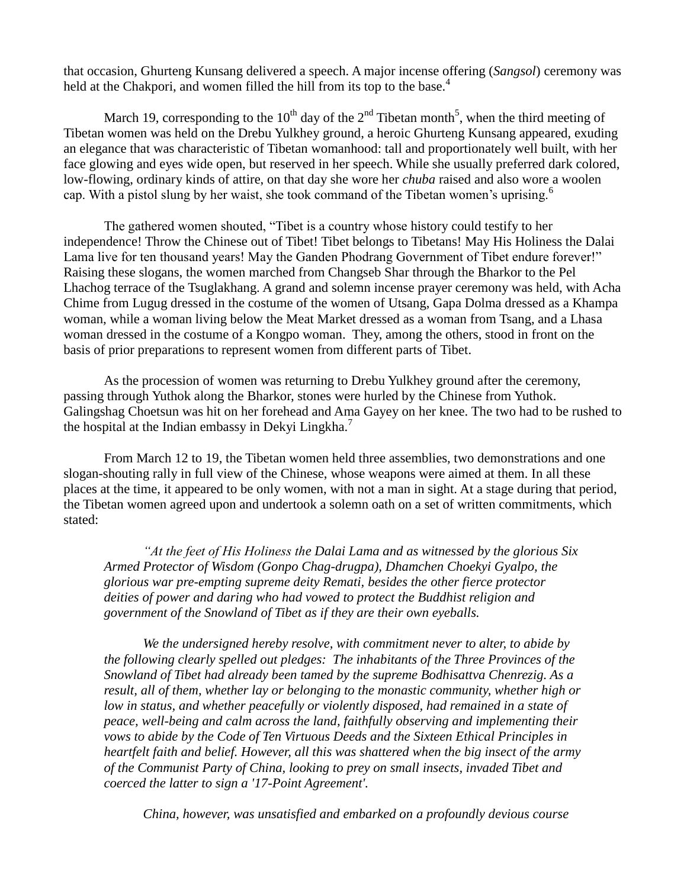that occasion, Ghurteng Kunsang delivered a speech. A major incense offering (*Sangsol*) ceremony was held at the Chakpori, and women filled the hill from its top to the base.<sup>4</sup>

March 19, corresponding to the 10<sup>th</sup> day of the 2<sup>nd</sup> Tibetan month<sup>5</sup>, when the third meeting of Tibetan women was held on the Drebu Yulkhey ground, a heroic Ghurteng Kunsang appeared, exuding an elegance that was characteristic of Tibetan womanhood: tall and proportionately well built, with her face glowing and eyes wide open, but reserved in her speech. While she usually preferred dark colored, low-flowing, ordinary kinds of attire, on that day she wore her *chuba* raised and also wore a woolen cap. With a pistol slung by her waist, she took command of the Tibetan women's uprising.<sup>6</sup>

The gathered women shouted, "Tibet is a country whose history could testify to her independence! Throw the Chinese out of Tibet! Tibet belongs to Tibetans! May His Holiness the Dalai Lama live for ten thousand years! May the Ganden Phodrang Government of Tibet endure forever!" Raising these slogans, the women marched from Changseb Shar through the Bharkor to the Pel Lhachog terrace of the Tsuglakhang. A grand and solemn incense prayer ceremony was held, with Acha Chime from Lugug dressed in the costume of the women of Utsang, Gapa Dolma dressed as a Khampa woman, while a woman living below the Meat Market dressed as a woman from Tsang, and a Lhasa woman dressed in the costume of a Kongpo woman. They, among the others, stood in front on the basis of prior preparations to represent women from different parts of Tibet.

As the procession of women was returning to Drebu Yulkhey ground after the ceremony, passing through Yuthok along the Bharkor, stones were hurled by the Chinese from Yuthok. Galingshag Choetsun was hit on her forehead and Ama Gayey on her knee. The two had to be rushed to the hospital at the Indian embassy in Dekyi Lingkha.<sup>7</sup>

From March 12 to 19, the Tibetan women held three assemblies, two demonstrations and one slogan-shouting rally in full view of the Chinese, whose weapons were aimed at them. In all these places at the time, it appeared to be only women, with not a man in sight. At a stage during that period, the Tibetan women agreed upon and undertook a solemn oath on a set of written commitments, which stated:

*"At the feet of His Holiness the Dalai Lama and as witnessed by the glorious Six Armed Protector of Wisdom (Gonpo Chag-drugpa), Dhamchen Choekyi Gyalpo, the glorious war pre-empting supreme deity Remati, besides the other fierce protector deities of power and daring who had vowed to protect the Buddhist religion and government of the Snowland of Tibet as if they are their own eyeballs.*

*We the undersigned hereby resolve, with commitment never to alter, to abide by the following clearly spelled out pledges: The inhabitants of the Three Provinces of the Snowland of Tibet had already been tamed by the supreme Bodhisattva Chenrezig. As a result, all of them, whether lay or belonging to the monastic community, whether high or low in status, and whether peacefully or violently disposed, had remained in a state of peace, well-being and calm across the land, faithfully observing and implementing their vows to abide by the Code of Ten Virtuous Deeds and the Sixteen Ethical Principles in heartfelt faith and belief. However, all this was shattered when the big insect of the army of the Communist Party of China, looking to prey on small insects, invaded Tibet and coerced the latter to sign a '17-Point Agreement'.* 

*China, however, was unsatisfied and embarked on a profoundly devious course*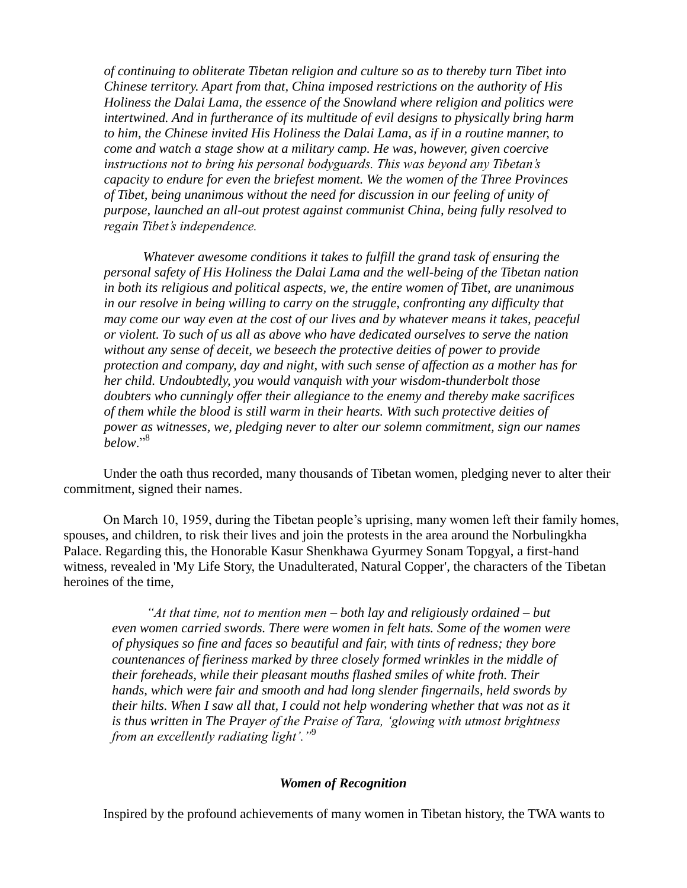*of continuing to obliterate Tibetan religion and culture so as to thereby turn Tibet into Chinese territory. Apart from that, China imposed restrictions on the authority of His Holiness the Dalai Lama, the essence of the Snowland where religion and politics were intertwined. And in furtherance of its multitude of evil designs to physically bring harm to him, the Chinese invited His Holiness the Dalai Lama, as if in a routine manner, to come and watch a stage show at a military camp. He was, however, given coercive instructions not to bring his personal bodyguards. This was beyond any Tibetan"s capacity to endure for even the briefest moment. We the women of the Three Provinces of Tibet, being unanimous without the need for discussion in our feeling of unity of purpose, launched an all-out protest against communist China, being fully resolved to regain Tibet"s independence.* 

*Whatever awesome conditions it takes to fulfill the grand task of ensuring the personal safety of His Holiness the Dalai Lama and the well-being of the Tibetan nation in both its religious and political aspects, we, the entire women of Tibet, are unanimous in our resolve in being willing to carry on the struggle, confronting any difficulty that may come our way even at the cost of our lives and by whatever means it takes, peaceful or violent. To such of us all as above who have dedicated ourselves to serve the nation without any sense of deceit, we beseech the protective deities of power to provide protection and company, day and night, with such sense of affection as a mother has for her child. Undoubtedly, you would vanquish with your wisdom-thunderbolt those doubters who cunningly offer their allegiance to the enemy and thereby make sacrifices of them while the blood is still warm in their hearts. With such protective deities of power as witnesses, we, pledging never to alter our solemn commitment, sign our names below*."<sup>8</sup>

Under the oath thus recorded, many thousands of Tibetan women, pledging never to alter their commitment, signed their names.

On March 10, 1959, during the Tibetan people"s uprising, many women left their family homes, spouses, and children, to risk their lives and join the protests in the area around the Norbulingkha Palace. Regarding this, the Honorable Kasur Shenkhawa Gyurmey Sonam Topgyal, a first-hand witness, revealed in 'My Life Story, the Unadulterated, Natural Copper', the characters of the Tibetan heroines of the time,

*"At that time, not to mention men – both lay and religiously ordained – but even women carried swords. There were women in felt hats. Some of the women were of physiques so fine and faces so beautiful and fair, with tints of redness; they bore countenances of fieriness marked by three closely formed wrinkles in the middle of their foreheads, while their pleasant mouths flashed smiles of white froth. Their hands, which were fair and smooth and had long slender fingernails, held swords by their hilts. When I saw all that, I could not help wondering whether that was not as it is thus written in The Prayer of the Praise of Tara, "glowing with utmost brightness from an excellently radiating light"."*<sup>9</sup>

#### *Women of Recognition*

Inspired by the profound achievements of many women in Tibetan history, the TWA wants to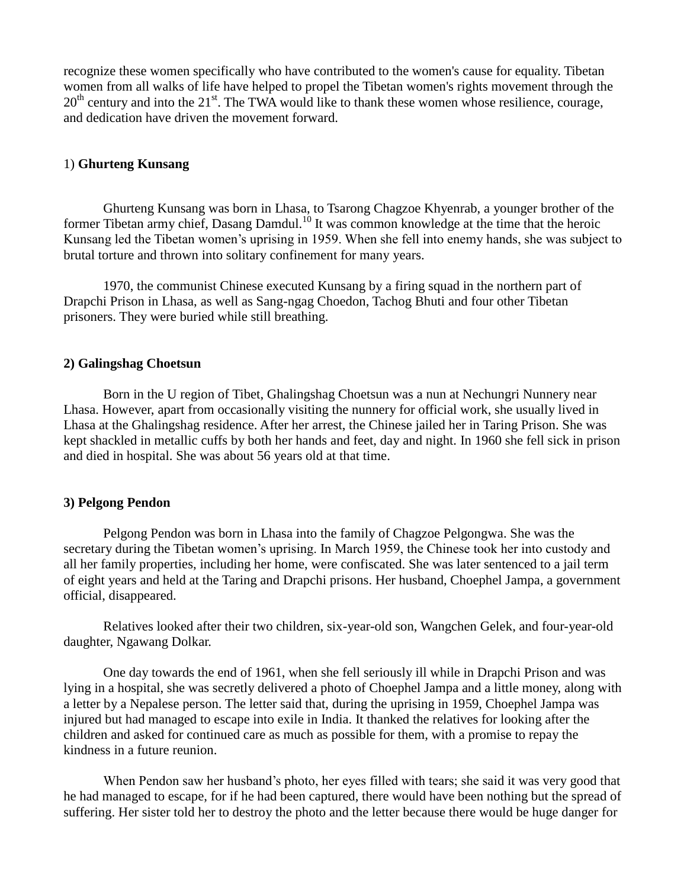recognize these women specifically who have contributed to the women's cause for equality. Tibetan women from all walks of life have helped to propel the Tibetan women's rights movement through the 20<sup>th</sup> century and into the 21<sup>st</sup>. The TWA would like to thank these women whose resilience, courage, and dedication have driven the movement forward.

# 1) **Ghurteng Kunsang**

Ghurteng Kunsang was born in Lhasa, to Tsarong Chagzoe Khyenrab, a younger brother of the former Tibetan army chief, Dasang Damdul.<sup>10</sup> It was common knowledge at the time that the heroic Kunsang led the Tibetan women"s uprising in 1959. When she fell into enemy hands, she was subject to brutal torture and thrown into solitary confinement for many years.

1970, the communist Chinese executed Kunsang by a firing squad in the northern part of Drapchi Prison in Lhasa, as well as Sang-ngag Choedon, Tachog Bhuti and four other Tibetan prisoners. They were buried while still breathing.

### **2) Galingshag Choetsun**

Born in the U region of Tibet, Ghalingshag Choetsun was a nun at Nechungri Nunnery near Lhasa. However, apart from occasionally visiting the nunnery for official work, she usually lived in Lhasa at the Ghalingshag residence. After her arrest, the Chinese jailed her in Taring Prison. She was kept shackled in metallic cuffs by both her hands and feet, day and night. In 1960 she fell sick in prison and died in hospital. She was about 56 years old at that time.

### **3) Pelgong Pendon**

Pelgong Pendon was born in Lhasa into the family of Chagzoe Pelgongwa. She was the secretary during the Tibetan women's uprising. In March 1959, the Chinese took her into custody and all her family properties, including her home, were confiscated. She was later sentenced to a jail term of eight years and held at the Taring and Drapchi prisons. Her husband, Choephel Jampa, a government official, disappeared.

Relatives looked after their two children, six-year-old son, Wangchen Gelek, and four-year-old daughter, Ngawang Dolkar.

One day towards the end of 1961, when she fell seriously ill while in Drapchi Prison and was lying in a hospital, she was secretly delivered a photo of Choephel Jampa and a little money, along with a letter by a Nepalese person. The letter said that, during the uprising in 1959, Choephel Jampa was injured but had managed to escape into exile in India. It thanked the relatives for looking after the children and asked for continued care as much as possible for them, with a promise to repay the kindness in a future reunion.

When Pendon saw her husband"s photo, her eyes filled with tears; she said it was very good that he had managed to escape, for if he had been captured, there would have been nothing but the spread of suffering. Her sister told her to destroy the photo and the letter because there would be huge danger for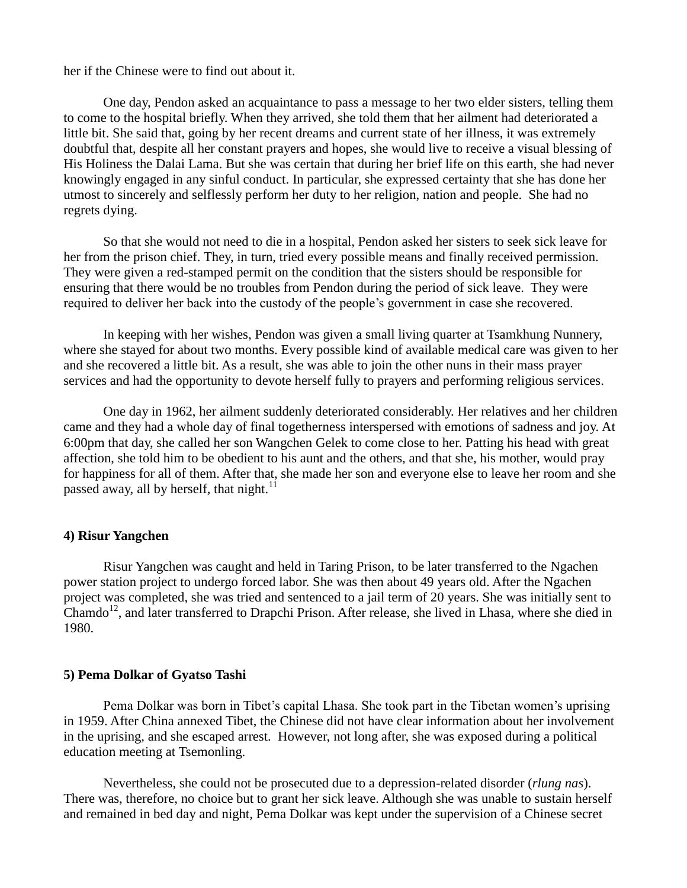her if the Chinese were to find out about it.

One day, Pendon asked an acquaintance to pass a message to her two elder sisters, telling them to come to the hospital briefly. When they arrived, she told them that her ailment had deteriorated a little bit. She said that, going by her recent dreams and current state of her illness, it was extremely doubtful that, despite all her constant prayers and hopes, she would live to receive a visual blessing of His Holiness the Dalai Lama. But she was certain that during her brief life on this earth, she had never knowingly engaged in any sinful conduct. In particular, she expressed certainty that she has done her utmost to sincerely and selflessly perform her duty to her religion, nation and people. She had no regrets dying.

So that she would not need to die in a hospital, Pendon asked her sisters to seek sick leave for her from the prison chief. They, in turn, tried every possible means and finally received permission. They were given a red-stamped permit on the condition that the sisters should be responsible for ensuring that there would be no troubles from Pendon during the period of sick leave. They were required to deliver her back into the custody of the people"s government in case she recovered.

In keeping with her wishes, Pendon was given a small living quarter at Tsamkhung Nunnery, where she stayed for about two months. Every possible kind of available medical care was given to her and she recovered a little bit. As a result, she was able to join the other nuns in their mass prayer services and had the opportunity to devote herself fully to prayers and performing religious services.

One day in 1962, her ailment suddenly deteriorated considerably. Her relatives and her children came and they had a whole day of final togetherness interspersed with emotions of sadness and joy. At 6:00pm that day, she called her son Wangchen Gelek to come close to her. Patting his head with great affection, she told him to be obedient to his aunt and the others, and that she, his mother, would pray for happiness for all of them. After that, she made her son and everyone else to leave her room and she passed away, all by herself, that night. $^{11}$ 

#### **4) Risur Yangchen**

Risur Yangchen was caught and held in Taring Prison, to be later transferred to the Ngachen power station project to undergo forced labor. She was then about 49 years old. After the Ngachen project was completed, she was tried and sentenced to a jail term of 20 years. She was initially sent to Chamdo<sup>12</sup>, and later transferred to Drapchi Prison. After release, she lived in Lhasa, where she died in 1980.

### **5) Pema Dolkar of Gyatso Tashi**

Pema Dolkar was born in Tibet"s capital Lhasa. She took part in the Tibetan women"s uprising in 1959. After China annexed Tibet, the Chinese did not have clear information about her involvement in the uprising, and she escaped arrest. However, not long after, she was exposed during a political education meeting at Tsemonling.

Nevertheless, she could not be prosecuted due to a depression-related disorder (*rlung nas*). There was, therefore, no choice but to grant her sick leave. Although she was unable to sustain herself and remained in bed day and night, Pema Dolkar was kept under the supervision of a Chinese secret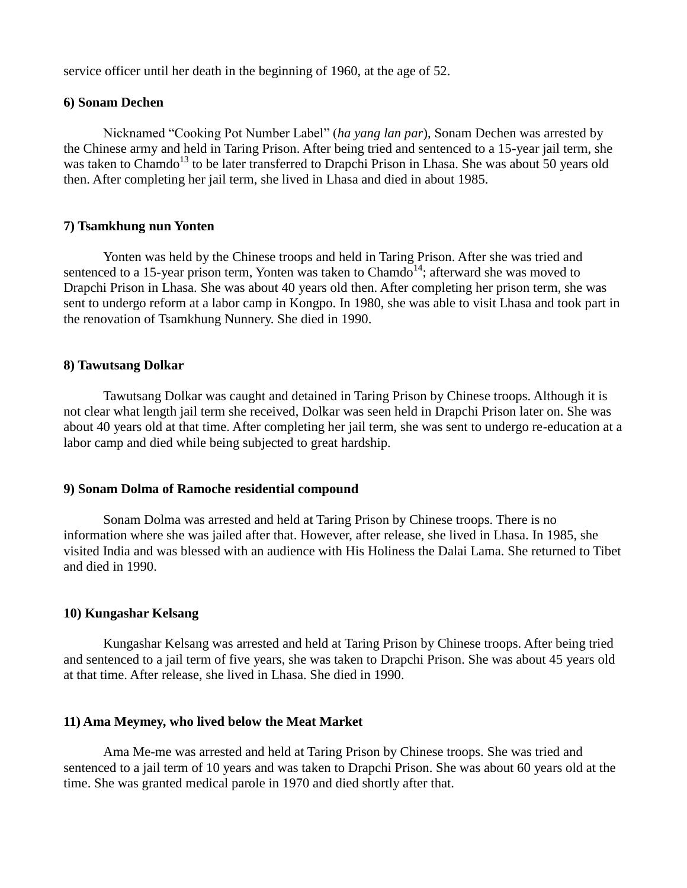service officer until her death in the beginning of 1960, at the age of 52.

### **6) Sonam Dechen**

Nicknamed "Cooking Pot Number Label" (*ha yang lan par*), Sonam Dechen was arrested by the Chinese army and held in Taring Prison. After being tried and sentenced to a 15-year jail term, she was taken to Chamdo<sup>13</sup> to be later transferred to Drapchi Prison in Lhasa. She was about 50 years old then. After completing her jail term, she lived in Lhasa and died in about 1985.

#### **7) Tsamkhung nun Yonten**

Yonten was held by the Chinese troops and held in Taring Prison. After she was tried and sentenced to a 15-year prison term, Yonten was taken to Chamdo<sup>14</sup>; afterward she was moved to Drapchi Prison in Lhasa. She was about 40 years old then. After completing her prison term, she was sent to undergo reform at a labor camp in Kongpo. In 1980, she was able to visit Lhasa and took part in the renovation of Tsamkhung Nunnery. She died in 1990.

### **8) Tawutsang Dolkar**

Tawutsang Dolkar was caught and detained in Taring Prison by Chinese troops. Although it is not clear what length jail term she received, Dolkar was seen held in Drapchi Prison later on. She was about 40 years old at that time. After completing her jail term, she was sent to undergo re-education at a labor camp and died while being subjected to great hardship.

### **9) Sonam Dolma of Ramoche residential compound**

Sonam Dolma was arrested and held at Taring Prison by Chinese troops. There is no information where she was jailed after that. However, after release, she lived in Lhasa. In 1985, she visited India and was blessed with an audience with His Holiness the Dalai Lama. She returned to Tibet and died in 1990.

### **10) Kungashar Kelsang**

Kungashar Kelsang was arrested and held at Taring Prison by Chinese troops. After being tried and sentenced to a jail term of five years, she was taken to Drapchi Prison. She was about 45 years old at that time. After release, she lived in Lhasa. She died in 1990.

### **11) Ama Meymey, who lived below the Meat Market**

Ama Me-me was arrested and held at Taring Prison by Chinese troops. She was tried and sentenced to a jail term of 10 years and was taken to Drapchi Prison. She was about 60 years old at the time. She was granted medical parole in 1970 and died shortly after that.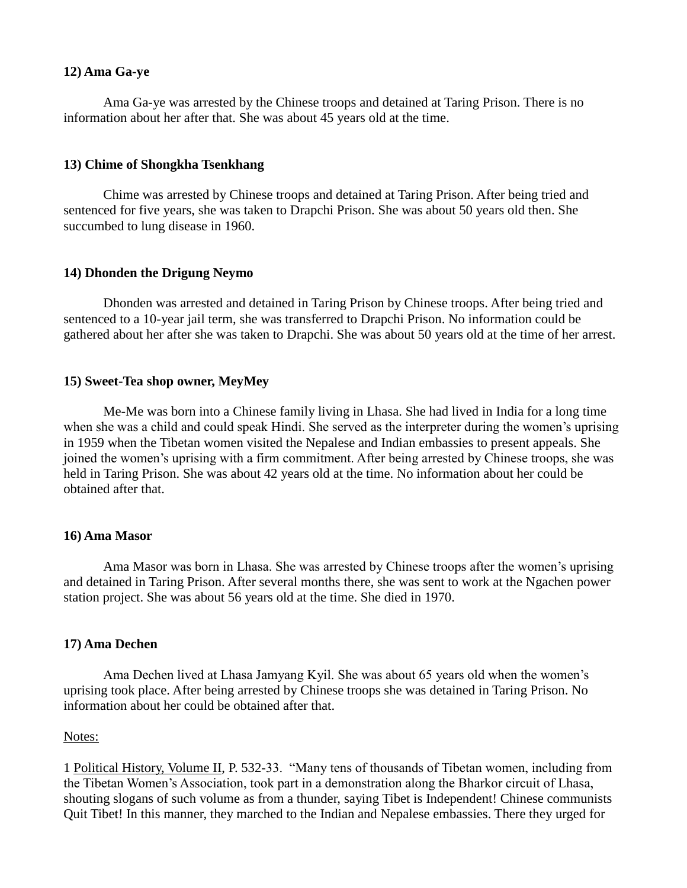# **12) Ama Ga-ye**

Ama Ga-ye was arrested by the Chinese troops and detained at Taring Prison. There is no information about her after that. She was about 45 years old at the time.

# **13) Chime of Shongkha Tsenkhang**

Chime was arrested by Chinese troops and detained at Taring Prison. After being tried and sentenced for five years, she was taken to Drapchi Prison. She was about 50 years old then. She succumbed to lung disease in 1960.

# **14) Dhonden the Drigung Neymo**

Dhonden was arrested and detained in Taring Prison by Chinese troops. After being tried and sentenced to a 10-year jail term, she was transferred to Drapchi Prison. No information could be gathered about her after she was taken to Drapchi. She was about 50 years old at the time of her arrest.

## **15) Sweet-Tea shop owner, MeyMey**

Me-Me was born into a Chinese family living in Lhasa. She had lived in India for a long time when she was a child and could speak Hindi. She served as the interpreter during the women's uprising in 1959 when the Tibetan women visited the Nepalese and Indian embassies to present appeals. She joined the women"s uprising with a firm commitment. After being arrested by Chinese troops, she was held in Taring Prison. She was about 42 years old at the time. No information about her could be obtained after that.

### **16) Ama Masor**

Ama Masor was born in Lhasa. She was arrested by Chinese troops after the women"s uprising and detained in Taring Prison. After several months there, she was sent to work at the Ngachen power station project. She was about 56 years old at the time. She died in 1970.

# **17) Ama Dechen**

Ama Dechen lived at Lhasa Jamyang Kyil. She was about 65 years old when the women"s uprising took place. After being arrested by Chinese troops she was detained in Taring Prison. No information about her could be obtained after that.

### Notes:

1 Political History, Volume II, P. 532-33. "Many tens of thousands of Tibetan women, including from the Tibetan Women"s Association, took part in a demonstration along the Bharkor circuit of Lhasa, shouting slogans of such volume as from a thunder, saying Tibet is Independent! Chinese communists Quit Tibet! In this manner, they marched to the Indian and Nepalese embassies. There they urged for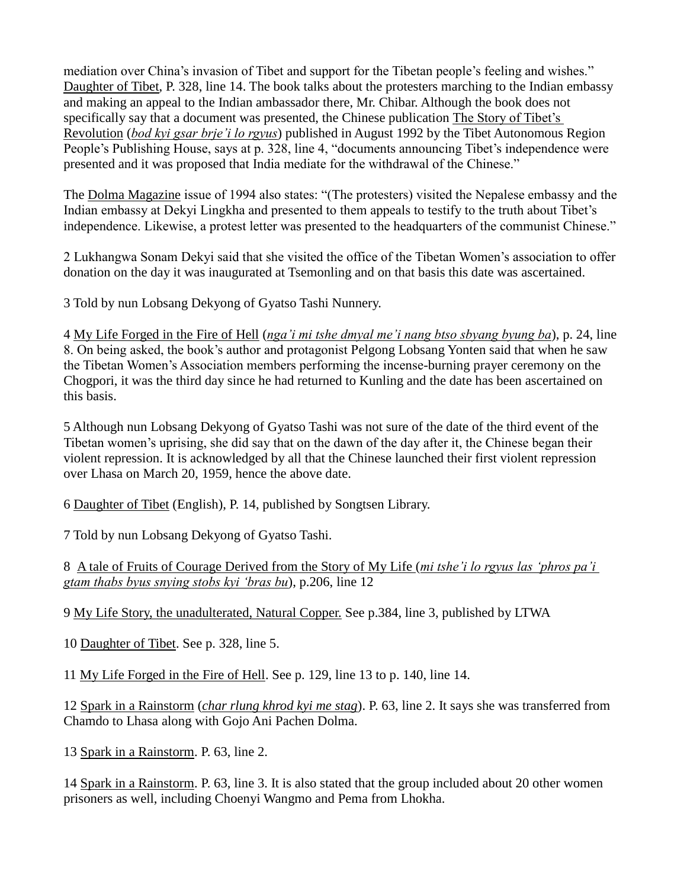mediation over China"s invasion of Tibet and support for the Tibetan people"s feeling and wishes." Daughter of Tibet, P. 328, line 14. The book talks about the protesters marching to the Indian embassy and making an appeal to the Indian ambassador there, Mr. Chibar. Although the book does not specifically say that a document was presented, the Chinese publication The Story of Tibet's Revolution (*bod kyi gsar brje"i lo rgyus*) published in August 1992 by the Tibet Autonomous Region People's Publishing House, says at p. 328, line 4, "documents announcing Tibet's independence were presented and it was proposed that India mediate for the withdrawal of the Chinese."

The Dolma Magazine issue of 1994 also states: "(The protesters) visited the Nepalese embassy and the Indian embassy at Dekyi Lingkha and presented to them appeals to testify to the truth about Tibet"s independence. Likewise, a protest letter was presented to the headquarters of the communist Chinese."

2 Lukhangwa Sonam Dekyi said that she visited the office of the Tibetan Women"s association to offer donation on the day it was inaugurated at Tsemonling and on that basis this date was ascertained.

3 Told by nun Lobsang Dekyong of Gyatso Tashi Nunnery.

4 My Life Forged in the Fire of Hell (*nga"i mi tshe dmyal me"i nang btso sbyang byung ba*), p. 24, line 8. On being asked, the book"s author and protagonist Pelgong Lobsang Yonten said that when he saw the Tibetan Women"s Association members performing the incense-burning prayer ceremony on the Chogpori, it was the third day since he had returned to Kunling and the date has been ascertained on this basis.

5 Although nun Lobsang Dekyong of Gyatso Tashi was not sure of the date of the third event of the Tibetan women"s uprising, she did say that on the dawn of the day after it, the Chinese began their violent repression. It is acknowledged by all that the Chinese launched their first violent repression over Lhasa on March 20, 1959, hence the above date.

6 Daughter of Tibet (English), P. 14, published by Songtsen Library.

7 Told by nun Lobsang Dekyong of Gyatso Tashi.

8 A tale of Fruits of Courage Derived from the Story of My Life (*mi tshe"i lo rgyus las "phros pa"i gtam thabs byus snying stobs kyi "bras bu*), p.206, line 12

9 My Life Story, the unadulterated, Natural Copper. See p.384, line 3, published by LTWA

10 Daughter of Tibet. See p. 328, line 5.

11 My Life Forged in the Fire of Hell. See p. 129, line 13 to p. 140, line 14.

12 Spark in a Rainstorm (*char rlung khrod kyi me stag*). P. 63, line 2. It says she was transferred from Chamdo to Lhasa along with Gojo Ani Pachen Dolma.

13 Spark in a Rainstorm. P. 63, line 2.

14 Spark in a Rainstorm. P. 63, line 3. It is also stated that the group included about 20 other women prisoners as well, including Choenyi Wangmo and Pema from Lhokha.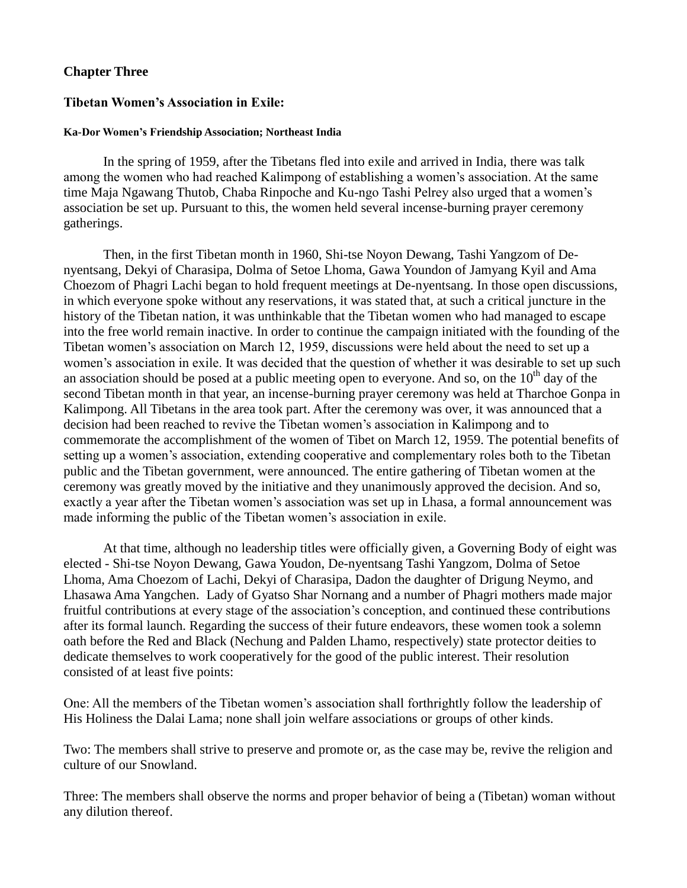# **Chapter Three**

### **Tibetan Women's Association in Exile:**

#### **Ka-Dor Women's Friendship Association; Northeast India**

In the spring of 1959, after the Tibetans fled into exile and arrived in India, there was talk among the women who had reached Kalimpong of establishing a women"s association. At the same time Maja Ngawang Thutob, Chaba Rinpoche and Ku-ngo Tashi Pelrey also urged that a women"s association be set up. Pursuant to this, the women held several incense-burning prayer ceremony gatherings.

Then, in the first Tibetan month in 1960, Shi-tse Noyon Dewang, Tashi Yangzom of Denyentsang, Dekyi of Charasipa, Dolma of Setoe Lhoma, Gawa Youndon of Jamyang Kyil and Ama Choezom of Phagri Lachi began to hold frequent meetings at De-nyentsang. In those open discussions, in which everyone spoke without any reservations, it was stated that, at such a critical juncture in the history of the Tibetan nation, it was unthinkable that the Tibetan women who had managed to escape into the free world remain inactive. In order to continue the campaign initiated with the founding of the Tibetan women"s association on March 12, 1959, discussions were held about the need to set up a women's association in exile. It was decided that the question of whether it was desirable to set up such an association should be posed at a public meeting open to everyone. And so, on the  $10<sup>th</sup>$  day of the second Tibetan month in that year, an incense-burning prayer ceremony was held at Tharchoe Gonpa in Kalimpong. All Tibetans in the area took part. After the ceremony was over, it was announced that a decision had been reached to revive the Tibetan women"s association in Kalimpong and to commemorate the accomplishment of the women of Tibet on March 12, 1959. The potential benefits of setting up a women"s association, extending cooperative and complementary roles both to the Tibetan public and the Tibetan government, were announced. The entire gathering of Tibetan women at the ceremony was greatly moved by the initiative and they unanimously approved the decision. And so, exactly a year after the Tibetan women"s association was set up in Lhasa, a formal announcement was made informing the public of the Tibetan women's association in exile.

At that time, although no leadership titles were officially given, a Governing Body of eight was elected - Shi-tse Noyon Dewang, Gawa Youdon, De-nyentsang Tashi Yangzom, Dolma of Setoe Lhoma, Ama Choezom of Lachi, Dekyi of Charasipa, Dadon the daughter of Drigung Neymo, and Lhasawa Ama Yangchen. Lady of Gyatso Shar Nornang and a number of Phagri mothers made major fruitful contributions at every stage of the association"s conception, and continued these contributions after its formal launch. Regarding the success of their future endeavors, these women took a solemn oath before the Red and Black (Nechung and Palden Lhamo, respectively) state protector deities to dedicate themselves to work cooperatively for the good of the public interest. Their resolution consisted of at least five points:

One: All the members of the Tibetan women"s association shall forthrightly follow the leadership of His Holiness the Dalai Lama; none shall join welfare associations or groups of other kinds.

Two: The members shall strive to preserve and promote or, as the case may be, revive the religion and culture of our Snowland.

Three: The members shall observe the norms and proper behavior of being a (Tibetan) woman without any dilution thereof.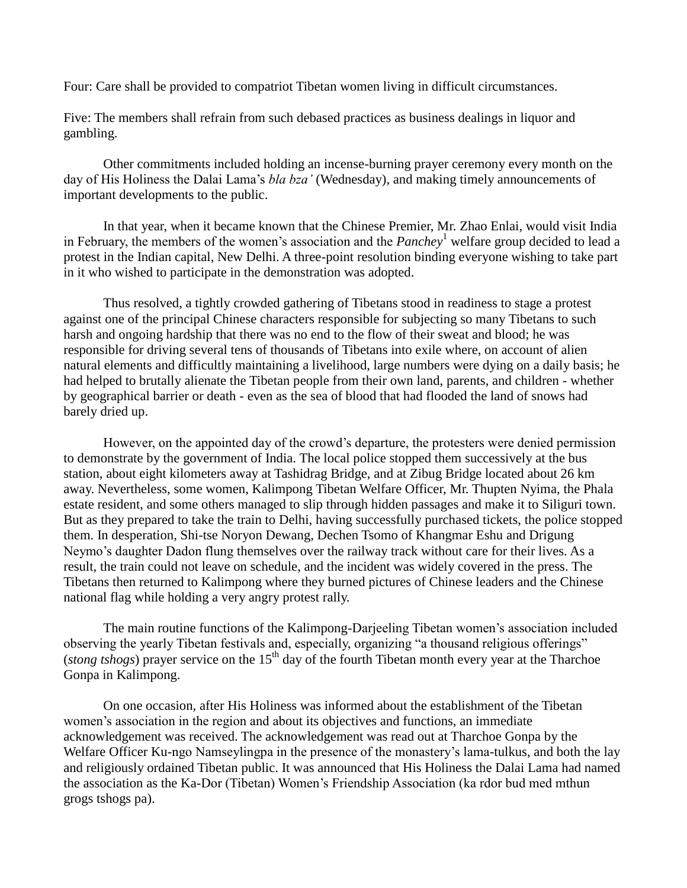Four: Care shall be provided to compatriot Tibetan women living in difficult circumstances.

Five: The members shall refrain from such debased practices as business dealings in liquor and gambling.

Other commitments included holding an incense-burning prayer ceremony every month on the day of His Holiness the Dalai Lama"s *bla bza"* (Wednesday), and making timely announcements of important developments to the public.

In that year, when it became known that the Chinese Premier, Mr. Zhao Enlai, would visit India in February, the members of the women"s association and the *Panchey*<sup>1</sup> welfare group decided to lead a protest in the Indian capital, New Delhi. A three-point resolution binding everyone wishing to take part in it who wished to participate in the demonstration was adopted.

Thus resolved, a tightly crowded gathering of Tibetans stood in readiness to stage a protest against one of the principal Chinese characters responsible for subjecting so many Tibetans to such harsh and ongoing hardship that there was no end to the flow of their sweat and blood; he was responsible for driving several tens of thousands of Tibetans into exile where, on account of alien natural elements and difficultly maintaining a livelihood, large numbers were dying on a daily basis; he had helped to brutally alienate the Tibetan people from their own land, parents, and children - whether by geographical barrier or death - even as the sea of blood that had flooded the land of snows had barely dried up.

However, on the appointed day of the crowd"s departure, the protesters were denied permission to demonstrate by the government of India. The local police stopped them successively at the bus station, about eight kilometers away at Tashidrag Bridge, and at Zibug Bridge located about 26 km away. Nevertheless, some women, Kalimpong Tibetan Welfare Officer, Mr. Thupten Nyima, the Phala estate resident, and some others managed to slip through hidden passages and make it to Siliguri town. But as they prepared to take the train to Delhi, having successfully purchased tickets, the police stopped them. In desperation, Shi-tse Noryon Dewang, Dechen Tsomo of Khangmar Eshu and Drigung Neymo"s daughter Dadon flung themselves over the railway track without care for their lives. As a result, the train could not leave on schedule, and the incident was widely covered in the press. The Tibetans then returned to Kalimpong where they burned pictures of Chinese leaders and the Chinese national flag while holding a very angry protest rally.

The main routine functions of the Kalimpong-Darjeeling Tibetan women"s association included observing the yearly Tibetan festivals and, especially, organizing "a thousand religious offerings" (*stong tshogs*) prayer service on the  $15<sup>th</sup>$  day of the fourth Tibetan month every year at the Tharchoe Gonpa in Kalimpong.

On one occasion, after His Holiness was informed about the establishment of the Tibetan women's association in the region and about its objectives and functions, an immediate acknowledgement was received. The acknowledgement was read out at Tharchoe Gonpa by the Welfare Officer Ku-ngo Namseylingpa in the presence of the monastery's lama-tulkus, and both the lay and religiously ordained Tibetan public. It was announced that His Holiness the Dalai Lama had named the association as the Ka-Dor (Tibetan) Women"s Friendship Association (ka rdor bud med mthun grogs tshogs pa).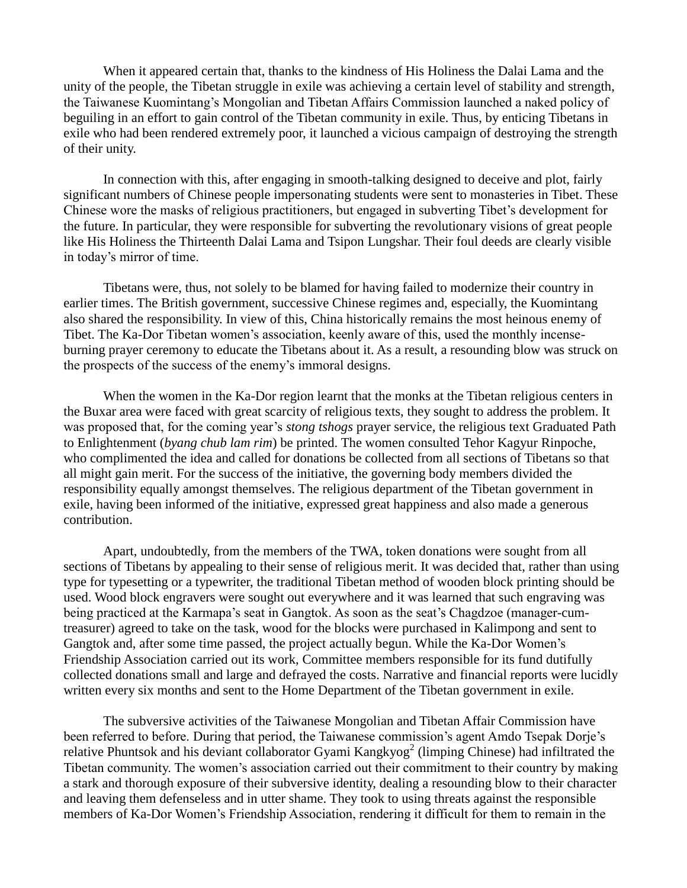When it appeared certain that, thanks to the kindness of His Holiness the Dalai Lama and the unity of the people, the Tibetan struggle in exile was achieving a certain level of stability and strength, the Taiwanese Kuomintang"s Mongolian and Tibetan Affairs Commission launched a naked policy of beguiling in an effort to gain control of the Tibetan community in exile. Thus, by enticing Tibetans in exile who had been rendered extremely poor, it launched a vicious campaign of destroying the strength of their unity.

In connection with this, after engaging in smooth-talking designed to deceive and plot, fairly significant numbers of Chinese people impersonating students were sent to monasteries in Tibet. These Chinese wore the masks of religious practitioners, but engaged in subverting Tibet"s development for the future. In particular, they were responsible for subverting the revolutionary visions of great people like His Holiness the Thirteenth Dalai Lama and Tsipon Lungshar. Their foul deeds are clearly visible in today"s mirror of time.

Tibetans were, thus, not solely to be blamed for having failed to modernize their country in earlier times. The British government, successive Chinese regimes and, especially, the Kuomintang also shared the responsibility. In view of this, China historically remains the most heinous enemy of Tibet. The Ka-Dor Tibetan women's association, keenly aware of this, used the monthly incenseburning prayer ceremony to educate the Tibetans about it. As a result, a resounding blow was struck on the prospects of the success of the enemy"s immoral designs.

When the women in the Ka-Dor region learnt that the monks at the Tibetan religious centers in the Buxar area were faced with great scarcity of religious texts, they sought to address the problem. It was proposed that, for the coming year"s *stong tshogs* prayer service, the religious text Graduated Path to Enlightenment (*byang chub lam rim*) be printed. The women consulted Tehor Kagyur Rinpoche, who complimented the idea and called for donations be collected from all sections of Tibetans so that all might gain merit. For the success of the initiative, the governing body members divided the responsibility equally amongst themselves. The religious department of the Tibetan government in exile, having been informed of the initiative, expressed great happiness and also made a generous contribution.

Apart, undoubtedly, from the members of the TWA, token donations were sought from all sections of Tibetans by appealing to their sense of religious merit. It was decided that, rather than using type for typesetting or a typewriter, the traditional Tibetan method of wooden block printing should be used. Wood block engravers were sought out everywhere and it was learned that such engraving was being practiced at the Karmapa"s seat in Gangtok. As soon as the seat"s Chagdzoe (manager-cumtreasurer) agreed to take on the task, wood for the blocks were purchased in Kalimpong and sent to Gangtok and, after some time passed, the project actually begun. While the Ka-Dor Women"s Friendship Association carried out its work, Committee members responsible for its fund dutifully collected donations small and large and defrayed the costs. Narrative and financial reports were lucidly written every six months and sent to the Home Department of the Tibetan government in exile.

The subversive activities of the Taiwanese Mongolian and Tibetan Affair Commission have been referred to before. During that period, the Taiwanese commission's agent Amdo Tsepak Dorje's relative Phuntsok and his deviant collaborator Gyami Kangkyog<sup>2</sup> (limping Chinese) had infiltrated the Tibetan community. The women"s association carried out their commitment to their country by making a stark and thorough exposure of their subversive identity, dealing a resounding blow to their character and leaving them defenseless and in utter shame. They took to using threats against the responsible members of Ka-Dor Women"s Friendship Association, rendering it difficult for them to remain in the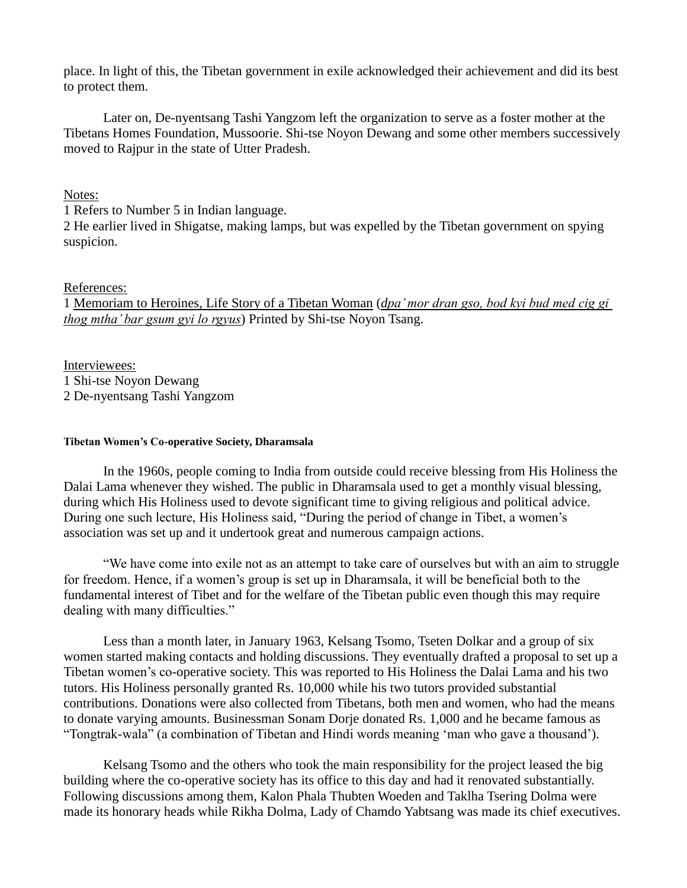place. In light of this, the Tibetan government in exile acknowledged their achievement and did its best to protect them.

Later on, De-nyentsang Tashi Yangzom left the organization to serve as a foster mother at the Tibetans Homes Foundation, Mussoorie. Shi-tse Noyon Dewang and some other members successively moved to Rajpur in the state of Utter Pradesh.

## Notes:

1 Refers to Number 5 in Indian language.

2 He earlier lived in Shigatse, making lamps, but was expelled by the Tibetan government on spying suspicion.

## References:

1 Memoriam to Heroines, Life Story of a Tibetan Woman (*dpa" mor dran gso, bod kyi bud med cig gi thog mtha" bar gsum gyi lo rgyus*) Printed by Shi-tse Noyon Tsang.

Interviewees: 1 Shi-tse Noyon Dewang 2 De-nyentsang Tashi Yangzom

#### **Tibetan Women's Co-operative Society, Dharamsala**

In the 1960s, people coming to India from outside could receive blessing from His Holiness the Dalai Lama whenever they wished. The public in Dharamsala used to get a monthly visual blessing, during which His Holiness used to devote significant time to giving religious and political advice. During one such lecture, His Holiness said, "During the period of change in Tibet, a women"s association was set up and it undertook great and numerous campaign actions.

"We have come into exile not as an attempt to take care of ourselves but with an aim to struggle for freedom. Hence, if a women"s group is set up in Dharamsala, it will be beneficial both to the fundamental interest of Tibet and for the welfare of the Tibetan public even though this may require dealing with many difficulties."

Less than a month later, in January 1963, Kelsang Tsomo, Tseten Dolkar and a group of six women started making contacts and holding discussions. They eventually drafted a proposal to set up a Tibetan women"s co-operative society. This was reported to His Holiness the Dalai Lama and his two tutors. His Holiness personally granted Rs. 10,000 while his two tutors provided substantial contributions. Donations were also collected from Tibetans, both men and women, who had the means to donate varying amounts. Businessman Sonam Dorje donated Rs. 1,000 and he became famous as "Tongtrak-wala" (a combination of Tibetan and Hindi words meaning "man who gave a thousand").

Kelsang Tsomo and the others who took the main responsibility for the project leased the big building where the co-operative society has its office to this day and had it renovated substantially. Following discussions among them, Kalon Phala Thubten Woeden and Taklha Tsering Dolma were made its honorary heads while Rikha Dolma, Lady of Chamdo Yabtsang was made its chief executives.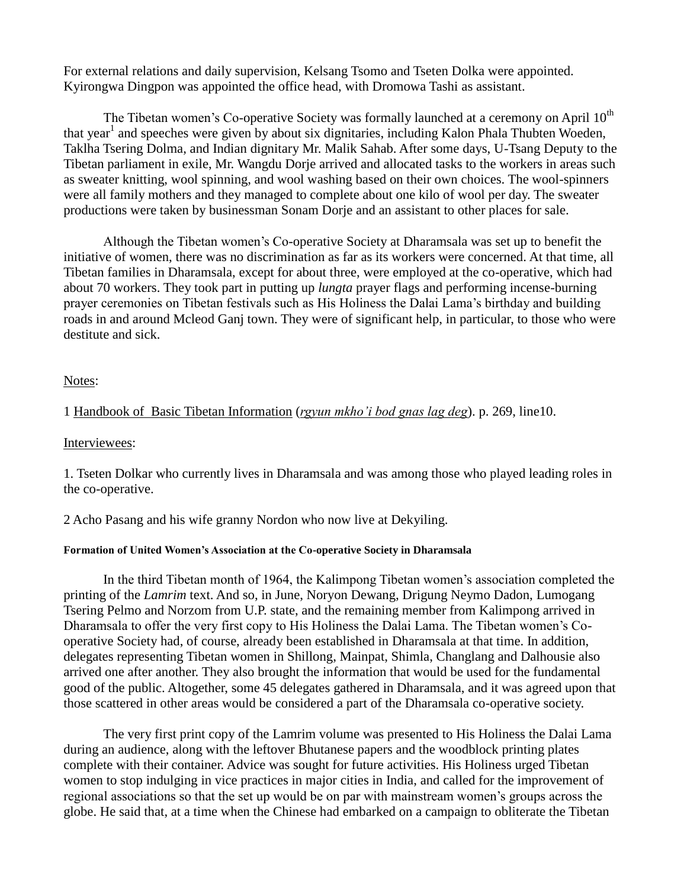For external relations and daily supervision, Kelsang Tsomo and Tseten Dolka were appointed. Kyirongwa Dingpon was appointed the office head, with Dromowa Tashi as assistant.

The Tibetan women's Co-operative Society was formally launched at a ceremony on April  $10<sup>th</sup>$ that year<sup>1</sup> and speeches were given by about six dignitaries, including Kalon Phala Thubten Woeden, Taklha Tsering Dolma, and Indian dignitary Mr. Malik Sahab. After some days, U-Tsang Deputy to the Tibetan parliament in exile, Mr. Wangdu Dorje arrived and allocated tasks to the workers in areas such as sweater knitting, wool spinning, and wool washing based on their own choices. The wool-spinners were all family mothers and they managed to complete about one kilo of wool per day. The sweater productions were taken by businessman Sonam Dorje and an assistant to other places for sale.

Although the Tibetan women"s Co-operative Society at Dharamsala was set up to benefit the initiative of women, there was no discrimination as far as its workers were concerned. At that time, all Tibetan families in Dharamsala, except for about three, were employed at the co-operative, which had about 70 workers. They took part in putting up *lungta* prayer flags and performing incense-burning prayer ceremonies on Tibetan festivals such as His Holiness the Dalai Lama"s birthday and building roads in and around Mcleod Ganj town. They were of significant help, in particular, to those who were destitute and sick.

# Notes:

# 1 Handbook of Basic Tibetan Information (*rgyun mkho"i bod gnas lag deg*). p. 269, line10.

## Interviewees:

1. Tseten Dolkar who currently lives in Dharamsala and was among those who played leading roles in the co-operative.

2 Acho Pasang and his wife granny Nordon who now live at Dekyiling.

### **Formation of United Women's Association at the Co-operative Society in Dharamsala**

In the third Tibetan month of 1964, the Kalimpong Tibetan women"s association completed the printing of the *Lamrim* text. And so, in June, Noryon Dewang, Drigung Neymo Dadon, Lumogang Tsering Pelmo and Norzom from U.P. state, and the remaining member from Kalimpong arrived in Dharamsala to offer the very first copy to His Holiness the Dalai Lama. The Tibetan women"s Cooperative Society had, of course, already been established in Dharamsala at that time. In addition, delegates representing Tibetan women in Shillong, Mainpat, Shimla, Changlang and Dalhousie also arrived one after another. They also brought the information that would be used for the fundamental good of the public. Altogether, some 45 delegates gathered in Dharamsala, and it was agreed upon that those scattered in other areas would be considered a part of the Dharamsala co-operative society.

The very first print copy of the Lamrim volume was presented to His Holiness the Dalai Lama during an audience, along with the leftover Bhutanese papers and the woodblock printing plates complete with their container. Advice was sought for future activities. His Holiness urged Tibetan women to stop indulging in vice practices in major cities in India, and called for the improvement of regional associations so that the set up would be on par with mainstream women"s groups across the globe. He said that, at a time when the Chinese had embarked on a campaign to obliterate the Tibetan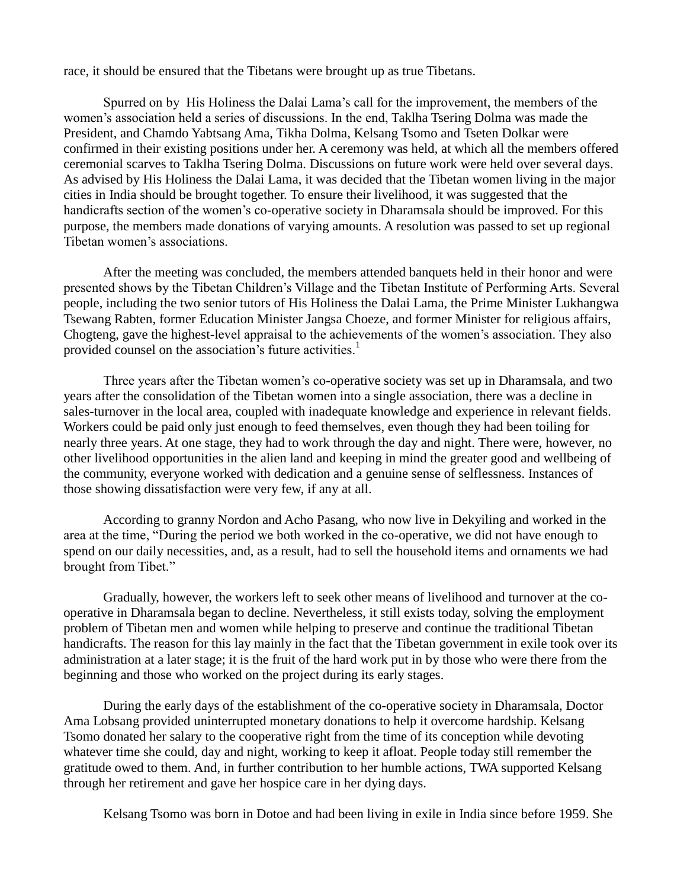race, it should be ensured that the Tibetans were brought up as true Tibetans.

Spurred on by His Holiness the Dalai Lama"s call for the improvement, the members of the women's association held a series of discussions. In the end, Taklha Tsering Dolma was made the President, and Chamdo Yabtsang Ama, Tikha Dolma, Kelsang Tsomo and Tseten Dolkar were confirmed in their existing positions under her. A ceremony was held, at which all the members offered ceremonial scarves to Taklha Tsering Dolma. Discussions on future work were held over several days. As advised by His Holiness the Dalai Lama, it was decided that the Tibetan women living in the major cities in India should be brought together. To ensure their livelihood, it was suggested that the handicrafts section of the women"s co-operative society in Dharamsala should be improved. For this purpose, the members made donations of varying amounts. A resolution was passed to set up regional Tibetan women's associations.

After the meeting was concluded, the members attended banquets held in their honor and were presented shows by the Tibetan Children"s Village and the Tibetan Institute of Performing Arts. Several people, including the two senior tutors of His Holiness the Dalai Lama, the Prime Minister Lukhangwa Tsewang Rabten, former Education Minister Jangsa Choeze, and former Minister for religious affairs, Chogteng, gave the highest-level appraisal to the achievements of the women"s association. They also provided counsel on the association's future activities.<sup>1</sup>

Three years after the Tibetan women"s co-operative society was set up in Dharamsala, and two years after the consolidation of the Tibetan women into a single association, there was a decline in sales-turnover in the local area, coupled with inadequate knowledge and experience in relevant fields. Workers could be paid only just enough to feed themselves, even though they had been toiling for nearly three years. At one stage, they had to work through the day and night. There were, however, no other livelihood opportunities in the alien land and keeping in mind the greater good and wellbeing of the community, everyone worked with dedication and a genuine sense of selflessness. Instances of those showing dissatisfaction were very few, if any at all.

According to granny Nordon and Acho Pasang, who now live in Dekyiling and worked in the area at the time, "During the period we both worked in the co-operative, we did not have enough to spend on our daily necessities, and, as a result, had to sell the household items and ornaments we had brought from Tibet."

Gradually, however, the workers left to seek other means of livelihood and turnover at the cooperative in Dharamsala began to decline. Nevertheless, it still exists today, solving the employment problem of Tibetan men and women while helping to preserve and continue the traditional Tibetan handicrafts. The reason for this lay mainly in the fact that the Tibetan government in exile took over its administration at a later stage; it is the fruit of the hard work put in by those who were there from the beginning and those who worked on the project during its early stages.

During the early days of the establishment of the co-operative society in Dharamsala, Doctor Ama Lobsang provided uninterrupted monetary donations to help it overcome hardship. Kelsang Tsomo donated her salary to the cooperative right from the time of its conception while devoting whatever time she could, day and night, working to keep it afloat. People today still remember the gratitude owed to them. And, in further contribution to her humble actions, TWA supported Kelsang through her retirement and gave her hospice care in her dying days.

Kelsang Tsomo was born in Dotoe and had been living in exile in India since before 1959. She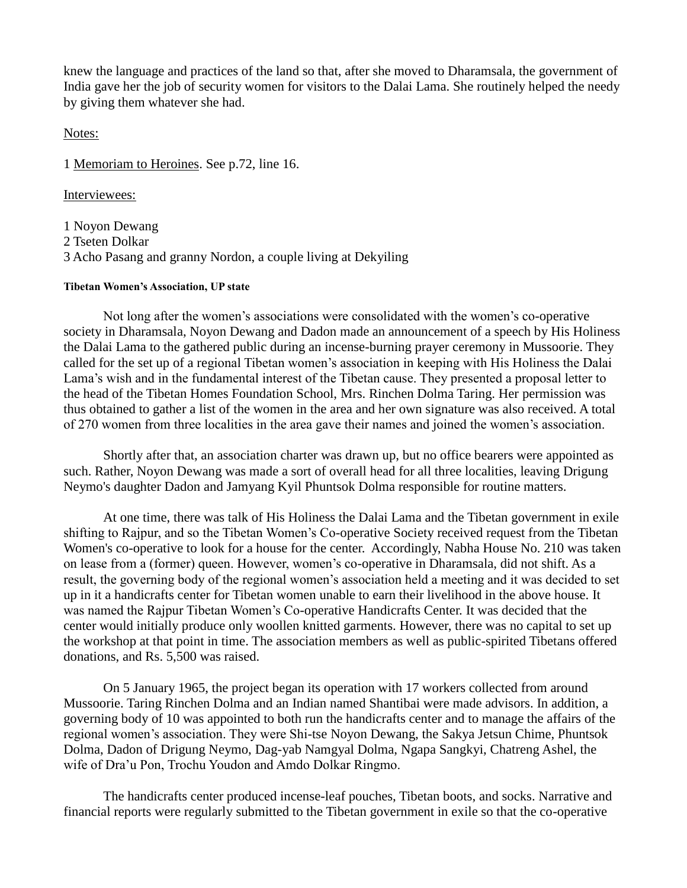knew the language and practices of the land so that, after she moved to Dharamsala, the government of India gave her the job of security women for visitors to the Dalai Lama. She routinely helped the needy by giving them whatever she had.

Notes:

1 Memoriam to Heroines. See p.72, line 16.

Interviewees:

1 Noyon Dewang 2 Tseten Dolkar 3 Acho Pasang and granny Nordon, a couple living at Dekyiling

#### **Tibetan Women's Association, UP state**

Not long after the women"s associations were consolidated with the women"s co-operative society in Dharamsala, Noyon Dewang and Dadon made an announcement of a speech by His Holiness the Dalai Lama to the gathered public during an incense-burning prayer ceremony in Mussoorie. They called for the set up of a regional Tibetan women"s association in keeping with His Holiness the Dalai Lama"s wish and in the fundamental interest of the Tibetan cause. They presented a proposal letter to the head of the Tibetan Homes Foundation School, Mrs. Rinchen Dolma Taring. Her permission was thus obtained to gather a list of the women in the area and her own signature was also received. A total of 270 women from three localities in the area gave their names and joined the women"s association.

Shortly after that, an association charter was drawn up, but no office bearers were appointed as such. Rather, Noyon Dewang was made a sort of overall head for all three localities, leaving Drigung Neymo's daughter Dadon and Jamyang Kyil Phuntsok Dolma responsible for routine matters.

At one time, there was talk of His Holiness the Dalai Lama and the Tibetan government in exile shifting to Rajpur, and so the Tibetan Women"s Co-operative Society received request from the Tibetan Women's co-operative to look for a house for the center. Accordingly, Nabha House No. 210 was taken on lease from a (former) queen. However, women"s co-operative in Dharamsala, did not shift. As a result, the governing body of the regional women"s association held a meeting and it was decided to set up in it a handicrafts center for Tibetan women unable to earn their livelihood in the above house. It was named the Rajpur Tibetan Women"s Co-operative Handicrafts Center. It was decided that the center would initially produce only woollen knitted garments. However, there was no capital to set up the workshop at that point in time. The association members as well as public-spirited Tibetans offered donations, and Rs. 5,500 was raised.

On 5 January 1965, the project began its operation with 17 workers collected from around Mussoorie. Taring Rinchen Dolma and an Indian named Shantibai were made advisors. In addition, a governing body of 10 was appointed to both run the handicrafts center and to manage the affairs of the regional women"s association. They were Shi-tse Noyon Dewang, the Sakya Jetsun Chime, Phuntsok Dolma, Dadon of Drigung Neymo, Dag-yab Namgyal Dolma, Ngapa Sangkyi, Chatreng Ashel, the wife of Dra"u Pon, Trochu Youdon and Amdo Dolkar Ringmo.

The handicrafts center produced incense-leaf pouches, Tibetan boots, and socks. Narrative and financial reports were regularly submitted to the Tibetan government in exile so that the co-operative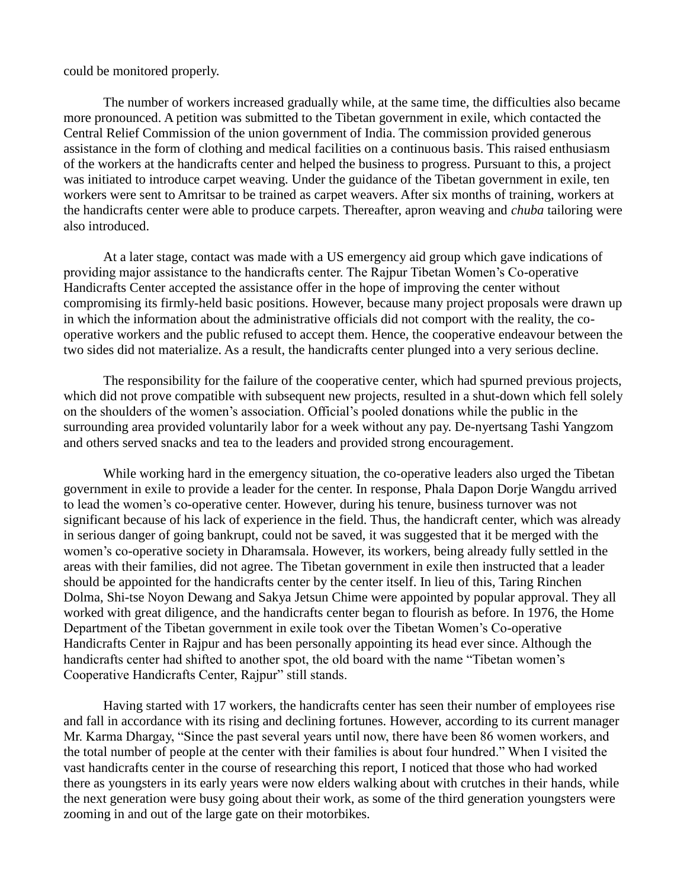### could be monitored properly.

The number of workers increased gradually while, at the same time, the difficulties also became more pronounced. A petition was submitted to the Tibetan government in exile, which contacted the Central Relief Commission of the union government of India. The commission provided generous assistance in the form of clothing and medical facilities on a continuous basis. This raised enthusiasm of the workers at the handicrafts center and helped the business to progress. Pursuant to this, a project was initiated to introduce carpet weaving. Under the guidance of the Tibetan government in exile, ten workers were sent to Amritsar to be trained as carpet weavers. After six months of training, workers at the handicrafts center were able to produce carpets. Thereafter, apron weaving and *chuba* tailoring were also introduced.

At a later stage, contact was made with a US emergency aid group which gave indications of providing major assistance to the handicrafts center. The Rajpur Tibetan Women"s Co-operative Handicrafts Center accepted the assistance offer in the hope of improving the center without compromising its firmly-held basic positions. However, because many project proposals were drawn up in which the information about the administrative officials did not comport with the reality, the cooperative workers and the public refused to accept them. Hence, the cooperative endeavour between the two sides did not materialize. As a result, the handicrafts center plunged into a very serious decline.

The responsibility for the failure of the cooperative center, which had spurned previous projects, which did not prove compatible with subsequent new projects, resulted in a shut-down which fell solely on the shoulders of the women"s association. Official"s pooled donations while the public in the surrounding area provided voluntarily labor for a week without any pay. De-nyertsang Tashi Yangzom and others served snacks and tea to the leaders and provided strong encouragement.

While working hard in the emergency situation, the co-operative leaders also urged the Tibetan government in exile to provide a leader for the center. In response, Phala Dapon Dorje Wangdu arrived to lead the women"s co-operative center. However, during his tenure, business turnover was not significant because of his lack of experience in the field. Thus, the handicraft center, which was already in serious danger of going bankrupt, could not be saved, it was suggested that it be merged with the women"s co-operative society in Dharamsala. However, its workers, being already fully settled in the areas with their families, did not agree. The Tibetan government in exile then instructed that a leader should be appointed for the handicrafts center by the center itself. In lieu of this, Taring Rinchen Dolma, Shi-tse Noyon Dewang and Sakya Jetsun Chime were appointed by popular approval. They all worked with great diligence, and the handicrafts center began to flourish as before. In 1976, the Home Department of the Tibetan government in exile took over the Tibetan Women"s Co-operative Handicrafts Center in Rajpur and has been personally appointing its head ever since. Although the handicrafts center had shifted to another spot, the old board with the name "Tibetan women's Cooperative Handicrafts Center, Rajpur" still stands.

Having started with 17 workers, the handicrafts center has seen their number of employees rise and fall in accordance with its rising and declining fortunes. However, according to its current manager Mr. Karma Dhargay, "Since the past several years until now, there have been 86 women workers, and the total number of people at the center with their families is about four hundred." When I visited the vast handicrafts center in the course of researching this report, I noticed that those who had worked there as youngsters in its early years were now elders walking about with crutches in their hands, while the next generation were busy going about their work, as some of the third generation youngsters were zooming in and out of the large gate on their motorbikes.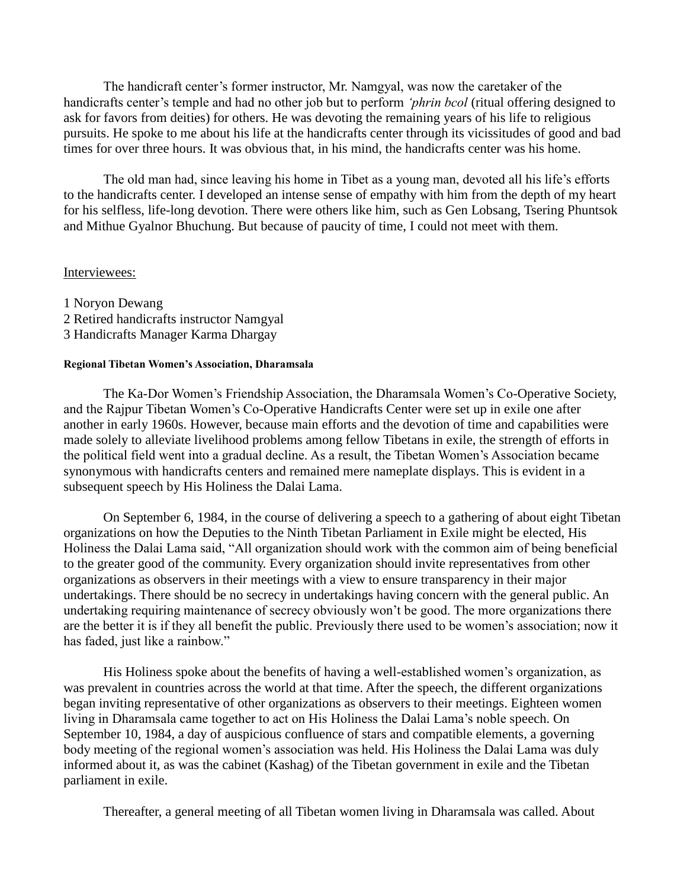The handicraft center's former instructor, Mr. Namgyal, was now the caretaker of the handicrafts center's temple and had no other job but to perform *'phrin bcol* (ritual offering designed to ask for favors from deities) for others. He was devoting the remaining years of his life to religious pursuits. He spoke to me about his life at the handicrafts center through its vicissitudes of good and bad times for over three hours. It was obvious that, in his mind, the handicrafts center was his home.

The old man had, since leaving his home in Tibet as a young man, devoted all his life"s efforts to the handicrafts center. I developed an intense sense of empathy with him from the depth of my heart for his selfless, life-long devotion. There were others like him, such as Gen Lobsang, Tsering Phuntsok and Mithue Gyalnor Bhuchung. But because of paucity of time, I could not meet with them.

### Interviewees:

1 Noryon Dewang 2 Retired handicrafts instructor Namgyal 3 Handicrafts Manager Karma Dhargay

### **Regional Tibetan Women's Association, Dharamsala**

The Ka-Dor Women"s Friendship Association, the Dharamsala Women"s Co-Operative Society, and the Rajpur Tibetan Women"s Co-Operative Handicrafts Center were set up in exile one after another in early 1960s. However, because main efforts and the devotion of time and capabilities were made solely to alleviate livelihood problems among fellow Tibetans in exile, the strength of efforts in the political field went into a gradual decline. As a result, the Tibetan Women"s Association became synonymous with handicrafts centers and remained mere nameplate displays. This is evident in a subsequent speech by His Holiness the Dalai Lama.

On September 6, 1984, in the course of delivering a speech to a gathering of about eight Tibetan organizations on how the Deputies to the Ninth Tibetan Parliament in Exile might be elected, His Holiness the Dalai Lama said, "All organization should work with the common aim of being beneficial to the greater good of the community. Every organization should invite representatives from other organizations as observers in their meetings with a view to ensure transparency in their major undertakings. There should be no secrecy in undertakings having concern with the general public. An undertaking requiring maintenance of secrecy obviously won"t be good. The more organizations there are the better it is if they all benefit the public. Previously there used to be women"s association; now it has faded, just like a rainbow."

His Holiness spoke about the benefits of having a well-established women's organization, as was prevalent in countries across the world at that time. After the speech, the different organizations began inviting representative of other organizations as observers to their meetings. Eighteen women living in Dharamsala came together to act on His Holiness the Dalai Lama"s noble speech. On September 10, 1984, a day of auspicious confluence of stars and compatible elements, a governing body meeting of the regional women's association was held. His Holiness the Dalai Lama was duly informed about it, as was the cabinet (Kashag) of the Tibetan government in exile and the Tibetan parliament in exile.

Thereafter, a general meeting of all Tibetan women living in Dharamsala was called. About